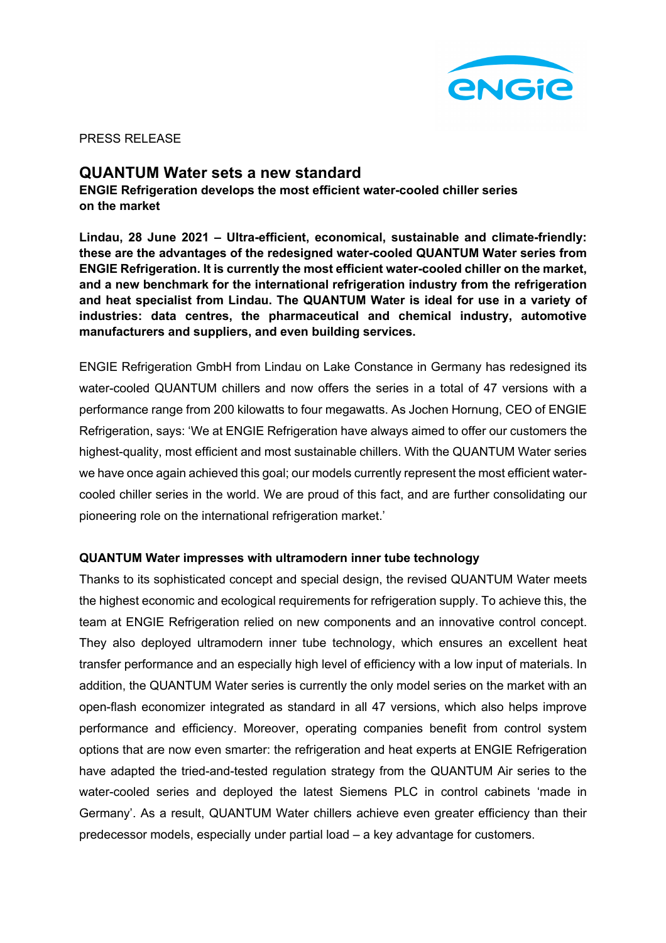

PRESS RELEASE

# **QUANTUM Water sets a new standard**

**ENGIE Refrigeration develops the most efficient water-cooled chiller series on the market**

**Lindau, 28 June 2021 – Ultra-efficient, economical, sustainable and climate-friendly: these are the advantages of the redesigned water-cooled QUANTUM Water series from ENGIE Refrigeration. It is currently the most efficient water-cooled chiller on the market, and a new benchmark for the international refrigeration industry from the refrigeration and heat specialist from Lindau. The QUANTUM Water is ideal for use in a variety of industries: data centres, the pharmaceutical and chemical industry, automotive manufacturers and suppliers, and even building services.** 

ENGIE Refrigeration GmbH from Lindau on Lake Constance in Germany has redesigned its water-cooled QUANTUM chillers and now offers the series in a total of 47 versions with a performance range from 200 kilowatts to four megawatts. As Jochen Hornung, CEO of ENGIE Refrigeration, says: 'We at ENGIE Refrigeration have always aimed to offer our customers the highest-quality, most efficient and most sustainable chillers. With the QUANTUM Water series we have once again achieved this goal; our models currently represent the most efficient watercooled chiller series in the world. We are proud of this fact, and are further consolidating our pioneering role on the international refrigeration market.'

## **QUANTUM Water impresses with ultramodern inner tube technology**

Thanks to its sophisticated concept and special design, the revised QUANTUM Water meets the highest economic and ecological requirements for refrigeration supply. To achieve this, the team at ENGIE Refrigeration relied on new components and an innovative control concept. They also deployed ultramodern inner tube technology, which ensures an excellent heat transfer performance and an especially high level of efficiency with a low input of materials. In addition, the QUANTUM Water series is currently the only model series on the market with an open-flash economizer integrated as standard in all 47 versions, which also helps improve performance and efficiency. Moreover, operating companies benefit from control system options that are now even smarter: the refrigeration and heat experts at ENGIE Refrigeration have adapted the tried-and-tested regulation strategy from the QUANTUM Air series to the water-cooled series and deployed the latest Siemens PLC in control cabinets 'made in Germany'. As a result, QUANTUM Water chillers achieve even greater efficiency than their predecessor models, especially under partial load – a key advantage for customers.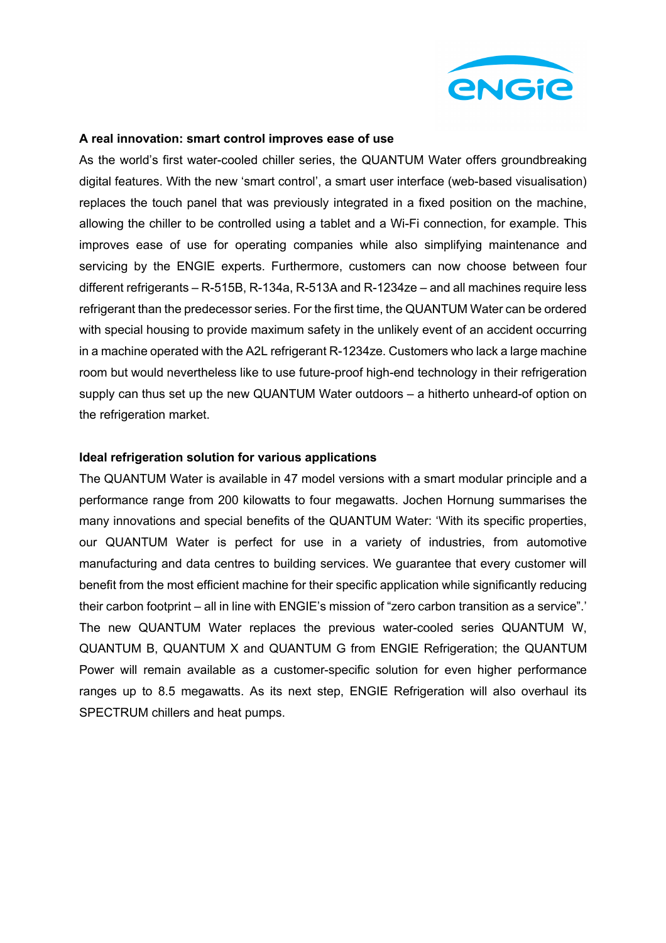

## **A real innovation: smart control improves ease of use**

As the world's first water-cooled chiller series, the QUANTUM Water offers groundbreaking digital features. With the new 'smart control', a smart user interface (web-based visualisation) replaces the touch panel that was previously integrated in a fixed position on the machine, allowing the chiller to be controlled using a tablet and a Wi-Fi connection, for example. This improves ease of use for operating companies while also simplifying maintenance and servicing by the ENGIE experts. Furthermore, customers can now choose between four different refrigerants – R-515B, R-134a, R-513A and R-1234ze – and all machines require less refrigerant than the predecessor series. For the first time, the QUANTUM Water can be ordered with special housing to provide maximum safety in the unlikely event of an accident occurring in a machine operated with the A2L refrigerant R-1234ze. Customers who lack a large machine room but would nevertheless like to use future-proof high-end technology in their refrigeration supply can thus set up the new QUANTUM Water outdoors – a hitherto unheard-of option on the refrigeration market.

## **Ideal refrigeration solution for various applications**

The QUANTUM Water is available in 47 model versions with a smart modular principle and a performance range from 200 kilowatts to four megawatts. Jochen Hornung summarises the many innovations and special benefits of the QUANTUM Water: 'With its specific properties, our QUANTUM Water is perfect for use in a variety of industries, from automotive manufacturing and data centres to building services. We guarantee that every customer will benefit from the most efficient machine for their specific application while significantly reducing their carbon footprint – all in line with ENGIE's mission of "zero carbon transition as a service".' The new QUANTUM Water replaces the previous water-cooled series QUANTUM W, QUANTUM B, QUANTUM X and QUANTUM G from ENGIE Refrigeration; the QUANTUM Power will remain available as a customer-specific solution for even higher performance ranges up to 8.5 megawatts. As its next step, ENGIE Refrigeration will also overhaul its SPECTRUM chillers and heat pumps.